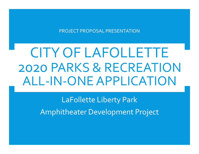PROJECT PROPOSAL PRESENTATION

# CITY OF LAFOLLETTE 2020 PARKS & RECREATION ALL-IN-ONE APPLICATION

LaFollette Liberty Park Amphitheater Development Project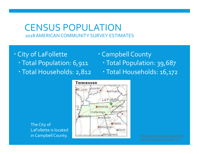#### CENSUS POPULATION 2018 AMERICAN COMMUNITY SURVEY ESTIMATES

- City of LaFollette
	- Total Population: 6,911
	- Total Households: 2,812

#### Campbell County

- Total Population: 39,687
- Total Households: 16,172

The City of LaFollette is located

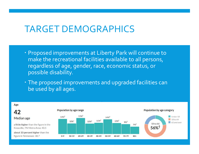### TARGET DEMOGRAPHICS

- Proposed improvements at Liberty Park will continue to make the recreational facilities available to all persons, regardless of age, gender, race, economic status, or possible disability.
- The proposed improvements and upgraded facilities can be used by all ages.



/

Age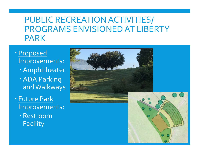### PUBLIC RECREATION ACTIVITIES/ PROGRAMS ENVISIONED AT LIBERTY PARK

- Proposed Improvements: Amphitheater ADA Parking and Walkways Future Park
	- Improvements:
		- Restroom Facility

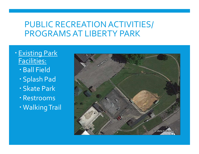#### PUBLIC RECREATION ACTIVITIES/ PROGRAMS AT LIBERTY PARK

- **· Existing Park** Facilities:
	- Ball Field
	- Splash Pad
	- Skate Park
	- Restrooms
	- Walking Trail

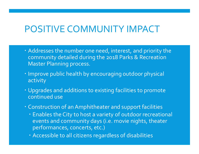### POSITIVE COMMUNITY IMPACT

- Addresses the number one need, interest, and priority the community detailed during the 2018 Parks & Recreation Master Planning process.
- **· Improve public health by encouraging outdoor physical** activity
- Upgrades and additions to existing facilities to promote continued use
- Construction of an Amphitheater and support facilities
	- Enables the City to host a variety of outdoor recreational events and community days (i.e. movie nights, theater performances, concerts, etc.)
	- Accessible to all citizens regardless of disabilities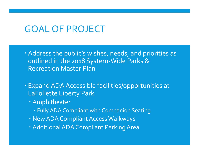### GOAL OF PROJECT

- Address the public's wishes, needs, and priorities as outlined in the 2018 System-Wide Parks & Recreation Master Plan
- Expand ADA Accessible facilities/opportunities at LaFollette Liberty Park
	- Amphitheater
		- Fully ADA Compliant with Companion Seating
	- New ADA Compliant Access Walkways
	- Additional ADA Compliant Parking Area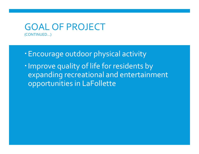#### GOAL OF PROJECT (CONTINUED…)

- Encourage outdoor physical activity
- Improve quality of life for residents by expanding recreational and entertainment opportunities in LaFollette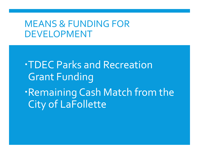### MEANS & FUNDING FOR DEVELOPMENT

TDEC Parks and Recreation Grant Funding Remaining Cash Match from the City of LaFollette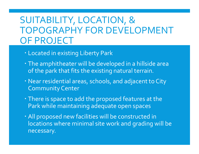## SUITABILITY, LOCATION, & TOPOGRAPHY FOR DEVELOPMENT OF PROJECT

- Located in existing Liberty Park
- The amphitheater will be developed in a hillside area of the park that fits the existing natural terrain.
- Near residential areas, schools, and adjacent to City Community Center
- There is space to add the proposed features at the Park while maintaining adequate open spaces
- All proposed new facilities will be constructed in locations where minimal site work and grading will be necessary.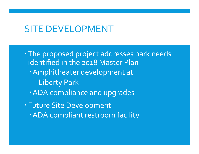### SITE DEVELOPMENT

The proposed project addresses park needs identified in the 2018 Master Plan Amphitheater development at Liberty Park ADA compliance and upgrades Future Site Development ADA compliant restroom facility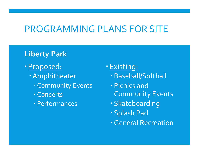## PROGRAMMING PLANS FOR SITE

#### Liberty Park

- Proposed:
	- Amphitheater
		- Community Events
		- Concerts
		- Performances
- Existing:
	- Baseball/Softball
	- Picnics and Community Events
	- Skateboarding
	- Splash Pad
	- General Recreation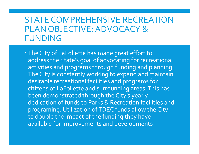### STATE COMPREHENSIVE RECREATION PLAN OBJECTIVE: ADVOCACY & FUNDING

 The City of LaFollette has made great effort to address the State's goal of advocating for recreational activities and programs through funding and planning. The City is constantly working to expand and maintain desirable recreational facilities and programs for citizens of LaFollette and surrounding areas. This has been demonstrated through the City's yearly dedication of funds to Parks & Recreation facilities and programing. Utilization of TDEC funds allow the City to double the impact of the funding they have available for improvements and developments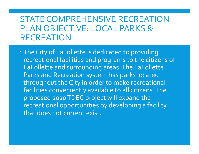### STATE COMPREHENSIVE RECREATION PLAN OBJECTIVE: LOCAL PARKS & RECREATION

 The City of LaFollette is dedicated to providing recreational facilities and programs to the citizens of LaFollette and surrounding areas. The LaFollette Parks and Recreation system has parks located throughout the City in order to make recreational facilities conveniently available to all citizens. The proposed 2020 TDEC project will expand the recreational opportunities by developing a facility that does not current exist.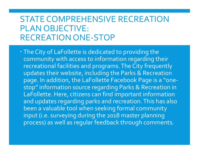### STATE COMPREHENSIVE RECREATION PLAN OBJECTIVE: RECREATION ONE-STOP

 The City of LaFollette is dedicated to providing the community with access to information regarding their recreational facilities and programs. The City frequently updates their website, including the Parks & Recreation page. In addition, the LaFollette Facebook Page is a "onestop" information source regarding Parks & Recreation in LaFollette. Here, citizens can find important information and updates regarding parks and recreation. This has also been a valuable tool when seeking formal community input (i.e. surveying during the 2018 master planning process) as well as regular feedback through comments.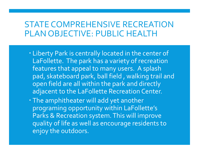#### STATE COMPREHENSIVE RECREATION PLAN OBJECTIVE: PUBLIC HEALTH

- Liberty Park is centrally located in the center of LaFollette. The park has a variety of recreation features that appeal to many users. A splash pad, skateboard park, ball field , walking trail and open field are all within the park and directly adjacent to the LaFollette Recreation Center.
- The amphitheater will add yet another programing opportunity within LaFollette's Parks & Recreation system. This will improve quality of life as well as encourage residents to enjoy the outdoors.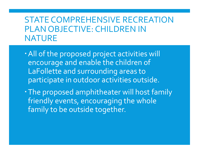### STATE COMPREHENSIVE RECREATION PLAN OBJECTIVE: CHILDREN IN NATURE

- All of the proposed project activities will encourage and enable the children of LaFollette and surrounding areas to participate in outdoor activities outside.
- The proposed amphitheater will host family friendly events, encouraging the whole family to be outside together.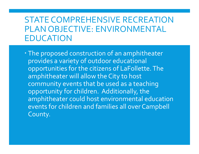### STATE COMPREHENSIVE RECREATION PLAN OBJECTIVE: ENVIRONMENTAL EDUCATION

 The proposed construction of an amphitheater provides a variety of outdoor educational opportunities for the citizens of LaFollette. The amphitheater will allow the City to host community events that be used as a teaching opportunity for children. Additionally, the amphitheater could host environmental education events for children and families all over Campbell County.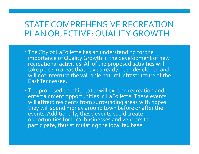#### STATE COMPREHENSIVE RECREATION PLAN OBJECTIVE: QUALITY GROWTH

• The City of LaFollette has an understanding for the<br>importance of Quality Growth in the development of new recreational activities. All of the proposed activities will take place in areas that have already been developed and will not interrupt the valuable natural infrastructure of the wave East Tennessee.

 The proposed amphitheater will expand recreation and entertainment opportunities in LaFollette. These events will attract residents from surrounding areas with hopes they will spend money around town before or after the events. Additionally, these events could create opportunities for local businesses and vendors to participate, thus stimulating the local tax base.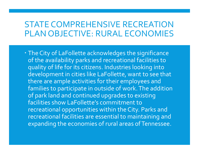#### STATE COMPREHENSIVE RECREATION PLAN OBJECTIVE: RURAL ECONOMIES

 The City of LaFollette acknowledges the significance of the availability parks and recreational facilities to quality of life for its citizens. Industries looking into development in cities like LaFollette, want to see that there are ample activities for their employees and families to participate in outside of work. The addition of park land and continued upgrades to existing facilities show LaFollette's commitment to recreational opportunities within the City. Parks and recreational facilities are essential to maintaining and expanding the economies of rural areas of Tennessee.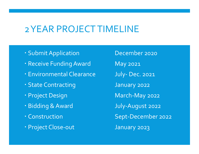## 2 YEAR PROJECT TIMELINE

- 
- 
- 
- 
- 
- 
- 
- 

2 YEAR PROJECT TIMELINE<br>
Submit Application December 2020<br>
December 2020<br>
Deceive Funding Award May 2021 2 YEAR PROJECT TIMELINE<br>
Submit Application December 2020<br>
Receive Funding Award May 2021<br>
Environmental Clearance July- Dec. 2021 2 YEAR PROJECT TIMELINE<br>
Submit Application December 2020<br>
- Receive Funding Award May 2021<br>
- Environmental Clearance July- Dec. 2021<br>
- State Contracting January 2022 2 YEAR PROJECT TIMELINE<br>
Submit Application December 2020<br>
- Receive Funding Award May 2021<br>
- Environmental Clearance July- Dec. 2021<br>
- State Contracting January 2022<br>
- Project Design March-May 2022 - Submit Application<br>
- Receive Funding Award May 2021<br>
- Environmental Clearance May 2021<br>
- State Contracting January 2022<br>
- Project Design March-May 2022<br>
- Bidding & Award July-August 2022 - Submit Application<br>
- Receive Funding Award May 2021<br>
- Environmental Clearance July- Dec. 2021<br>
- State Contracting January 2022<br>
- Project Design March-May 2022<br>
- Bidding & Award July-August 2022<br>
- Construction Sept-Processes and the processes and the Project Construction September 2022<br>
Project Design September 2022<br>
Project Design Sept-December 2022<br>
Project Design March-May 2022<br>
Project Close-out Sept-December 2022<br>
Project Close-Provider Chang Award May 2021<br>
Project Design Bidding & Award July- Dec. 2021<br>
Project Design March-May 2022<br>
Project Design March-May 2022<br>
Project Close-out January 2023<br>
Project Close-out January 2023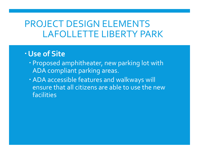### PROJECT DESIGN ELEMENTS LAFOLLETTE LIBERTY PARK

#### Use of Site

- Proposed amphitheater, new parking lot with ADA compliant parking areas.
- ADA accessible features and walkways will ensure that all citizens are able to use the new facilities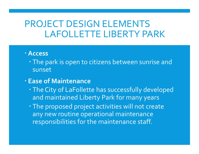### PROJECT DESIGN ELEMENTS LAFOLLETTE LIBERTY PARK

#### Access

 The park is open to citizens between sunrise and sunset

#### Ease of Maintenance

- The City of LaFollette has successfully developed and maintained Liberty Park for many years
- . The proposed project activities will not create any new routine operational maintenance responsibilities for the maintenance staff.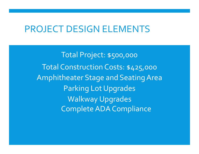### PROJECT DESIGN ELEMENTS

Total Project: \$500,000 Total Construction Costs: \$425,000 Amphitheater Stage and Seating Area Parking Lot Upgrades Walkway Upgrades Complete ADA Compliance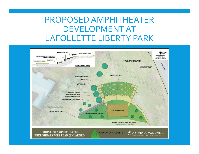### PROPOSED AMPHITHEATER DEVELOPMENT AT LAFOLLETTE LIBERTY PARK

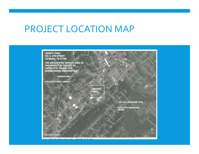## PROJECT LOCATION MAP

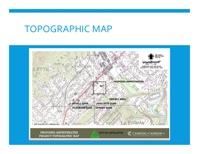### TOPOGRAPHIC MAP



PROPOSED AMPHITHEATER PROJECT TOPOGRAPHIC MAP

**CITY OF LAFOLLETTE** 

G CANNON & CANNON INC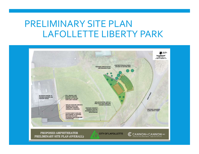### PRELIMINARY SITE PLAN LAFOLLETTE LIBERTY PARK

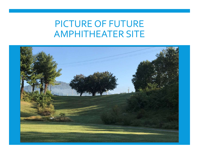## PICTURE OF FUTURE AMPHITHEATER SITE